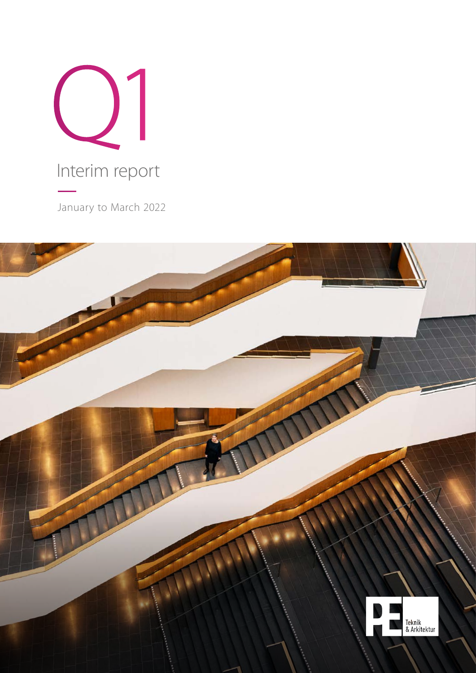

January to March 2022

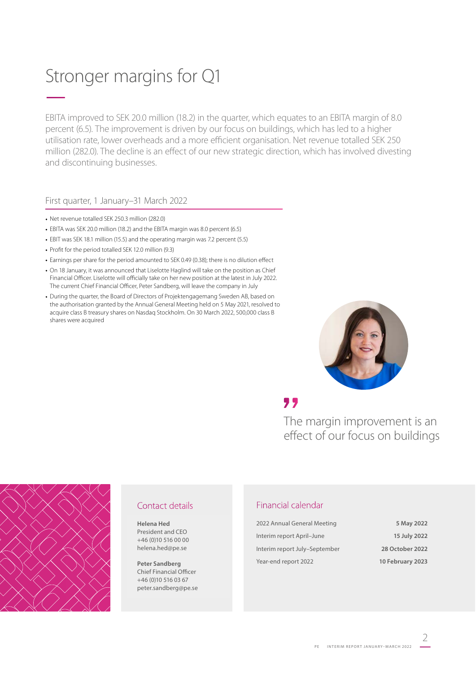# Stronger margins for Q1 –

EBITA improved to SEK 20.0 million (18.2) in the quarter, which equates to an EBITA margin of 8.0 percent (6.5). The improvement is driven by our focus on buildings, which has led to a higher utilisation rate, lower overheads and a more efficient organisation. Net revenue totalled SEK 250 million (282.0). The decline is an effect of our new strategic direction, which has involved divesting and discontinuing businesses.

### First quarter, 1 January–31 March 2022

- **•** Net revenue totalled SEK 250.3 million (282.0)
- **•** EBITA was SEK 20.0 million (18.2) and the EBITA margin was 8.0 percent (6.5)
- **•** EBIT was SEK 18.1 million (15.5) and the operating margin was 7.2 percent (5.5)
- **•** Profit for the period totalled SEK 12.0 million (9.3)
- **•** Earnings per share for the period amounted to SEK 0.49 (0.38); there is no dilution effect
- **•** On 18 January, it was announced that Liselotte Haglind will take on the position as Chief Financial Officer. Liselotte will officially take on her new position at the latest in July 2022. The current Chief Financial Officer, Peter Sandberg, will leave the company in July
- **•** During the quarter, the Board of Directors of Projektengagemang Sweden AB, based on the authorisation granted by the Annual General Meeting held on 5 May 2021, resolved to acquire class B treasury shares on Nasdaq Stockholm. On 30 March 2022, 500,000 class B shares were acquired



# ,,

The margin improvement is an effect of our focus on buildings



# Contact details

**Helena Hed** President and CEO +46 (0)10 516 00 00 helena.hed@pe.se

**Peter Sandberg** Chief Financial Officer +46 (0)10 516 03 67 peter.sandberg@pe.se

# Financial calendar

| 2022 Annual General Meeting   | 5 May 2022       |
|-------------------------------|------------------|
| Interim report April-June     | 15 July 2022     |
| Interim report July-September | 28 October 2022  |
| Year-end report 2022          | 10 February 2023 |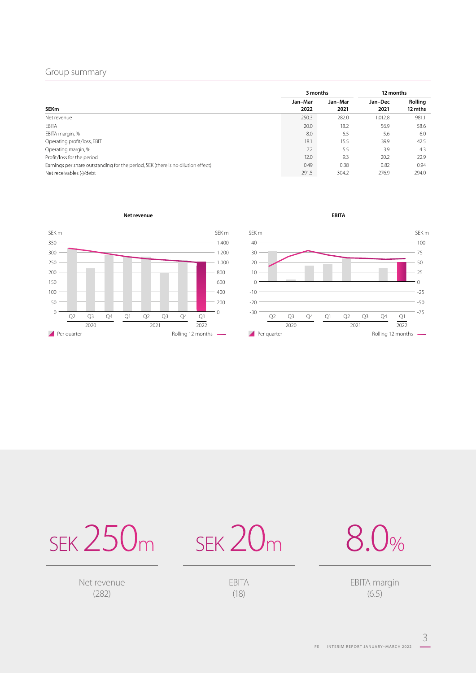## Group summary

|                                                                                  | 3 months        |                 | 12 months       |                    |
|----------------------------------------------------------------------------------|-----------------|-----------------|-----------------|--------------------|
| <b>SEKm</b>                                                                      | Jan-Mar<br>2022 | Jan-Mar<br>2021 | Jan-Dec<br>2021 | Rolling<br>12 mths |
| Net revenue                                                                      | 250.3           | 282.0           | 1,012.8         | 981.1              |
| EBITA                                                                            | 20.0            | 18.2            | 56.9            | 58.6               |
| EBITA margin, %                                                                  | 8.0             | 6.5             | 5.6             | 6.0                |
| Operating profit/loss, EBIT                                                      | 18.1            | 15.5            | 39.9            | 42.5               |
| Operating margin, %                                                              | 7.2             | 5.5             | 3.9             | 4.3                |
| Profit/loss for the period                                                       | 12.0            | 9.3             | 20.2            | 22.9               |
| Earnings per share outstanding for the period, SEK (there is no dilution effect) | 0.49            | 0.38            | 0.82            | 0.94               |
| Net receivables (-)/debt                                                         | 291.5           | 304.2           | 276.9           | 294.0              |

**Net revenue EBITA** 





SEK  $250<sub>m</sub>$  SEK  $20<sub>m</sub>$ 

Net revenue (282)

EBITA (18)

8.0%

EBITA margin (6.5)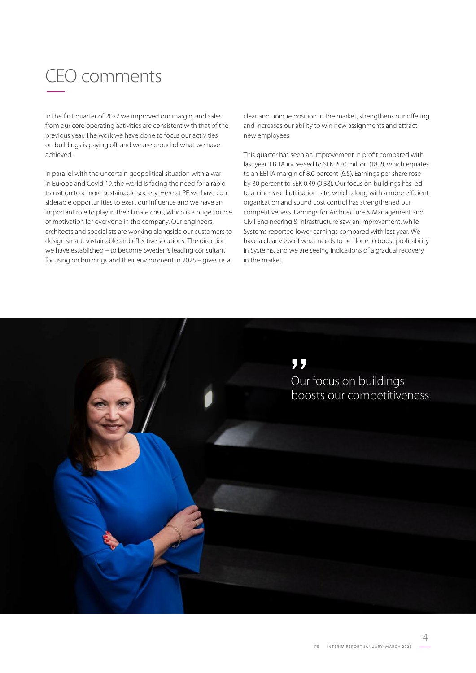# CEO comments –

In the first quarter of 2022 we improved our margin, and sales from our core operating activities are consistent with that of the previous year. The work we have done to focus our activities on buildings is paying off, and we are proud of what we have achieved.

In parallel with the uncertain geopolitical situation with a war in Europe and Covid-19, the world is facing the need for a rapid transition to a more sustainable society. Here at PE we have considerable opportunities to exert our influence and we have an important role to play in the climate crisis, which is a huge source of motivation for everyone in the company. Our engineers, architects and specialists are working alongside our customers to design smart, sustainable and effective solutions. The direction we have established – to become Sweden's leading consultant focusing on buildings and their environment in 2025 – gives us a

clear and unique position in the market, strengthens our offering and increases our ability to win new assignments and attract new employees.

This quarter has seen an improvement in profit compared with last year. EBITA increased to SEK 20.0 million (18,2), which equates to an EBITA margin of 8.0 percent (6.5). Earnings per share rose by 30 percent to SEK 0.49 (0.38). Our focus on buildings has led to an increased utilisation rate, which along with a more efficient organisation and sound cost control has strengthened our competitiveness. Earnings for Architecture & Management and Civil Engineering & Infrastructure saw an improvement, while Systems reported lower earnings compared with last year. We have a clear view of what needs to be done to boost profitability in Systems, and we are seeing indications of a gradual recovery in the market.

> " Our focus on buildings boosts our competitiveness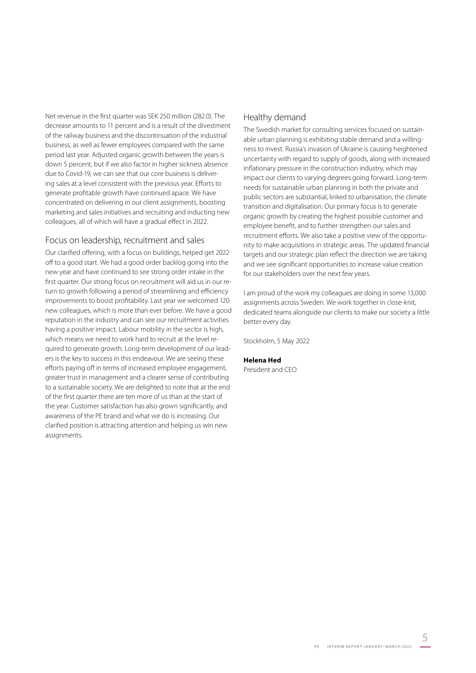Net revenue in the first quarter was SEK 250 million (282.0). The decrease amounts to 11 percent and is a result of the divestment of the railway business and the discontinuation of the industrial business, as well as fewer employees compared with the same period last year. Adjusted organic growth between the years is down 5 percent, but if we also factor in higher sickness absence due to Covid-19, we can see that our core business is delivering sales at a level consistent with the previous year. Efforts to generate profitable growth have continued apace. We have concentrated on delivering in our client assignments, boosting marketing and sales initiatives and recruiting and inducting new colleagues, all of which will have a gradual effect in 2022.

# Focus on leadership, recruitment and sales

Our clarified offering, with a focus on buildings, helped get 2022 off to a good start. We had a good order backlog going into the new year and have continued to see strong order intake in the first quarter. Our strong focus on recruitment will aid us in our return to growth following a period of streamlining and efficiency improvements to boost profitability. Last year we welcomed 120 new colleagues, which is more than ever before. We have a good reputation in the industry and can see our recruitment activities having a positive impact. Labour mobility in the sector is high, which means we need to work hard to recruit at the level required to generate growth. Long-term development of our leaders is the key to success in this endeavour. We are seeing these efforts paying off in terms of increased employee engagement, greater trust in management and a clearer sense of contributing to a sustainable society. We are delighted to note that at the end of the first quarter there are ten more of us than at the start of the year. Customer satisfaction has also grown significantly, and awareness of the PE brand and what we do is increasing. Our clarified position is attracting attention and helping us win new assignments.

# Healthy demand

The Swedish market for consulting services focused on sustainable urban planning is exhibiting stable demand and a willingness to invest. Russia's invasion of Ukraine is causing heightened uncertainty with regard to supply of goods, along with increased inflationary pressure in the construction industry, which may impact our clients to varying degrees going forward. Long-term needs for sustainable urban planning in both the private and public sectors are substantial, linked to urbanisation, the climate transition and digitalisation. Our primary focus is to generate organic growth by creating the highest possible customer and employee benefit, and to further strengthen our sales and recruitment efforts. We also take a positive view of the opportunity to make acquisitions in strategic areas. The updated financial targets and our strategic plan reflect the direction we are taking and we see significant opportunities to increase value creation for our stakeholders over the next few years.

I am proud of the work my colleagues are doing in some 13,000 assignments across Sweden. We work together in close-knit, dedicated teams alongside our clients to make our society a little better every day.

Stockholm, 5 May 2022

### **Helena Hed**

President and CEO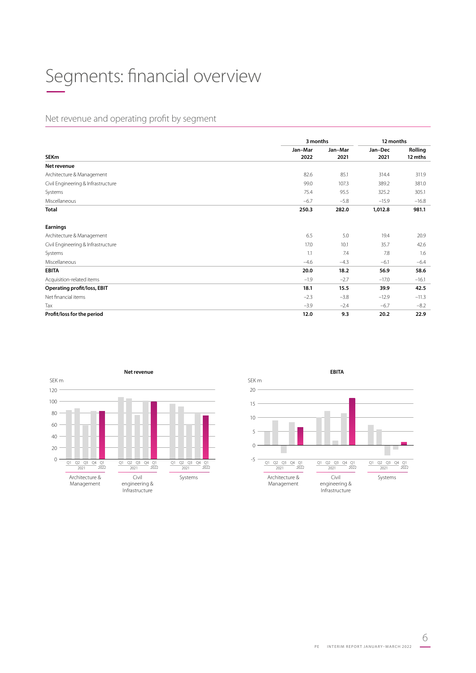# Segments: financial overview –

# Net revenue and operating profit by segment

|                                    |         | 3 months |         | 12 months |  |
|------------------------------------|---------|----------|---------|-----------|--|
|                                    | Jan-Mar | Jan-Mar  | Jan-Dec | Rolling   |  |
| <b>SEKm</b>                        | 2022    | 2021     | 2021    | 12 mths   |  |
| Net revenue                        |         |          |         |           |  |
| Architecture & Management          | 82.6    | 85.1     | 314.4   | 311.9     |  |
| Civil Engineering & Infrastructure | 99.0    | 107.3    | 389.2   | 381.0     |  |
| Systems                            | 75.4    | 95.5     | 325.2   | 305.1     |  |
| Miscellaneous                      | $-6.7$  | $-5.8$   | $-15.9$ | $-16.8$   |  |
| Total                              | 250.3   | 282.0    | 1,012.8 | 981.1     |  |
| <b>Earnings</b>                    |         |          |         |           |  |
| Architecture & Management          | 6.5     | 5.0      | 19.4    | 20.9      |  |
| Civil Engineering & Infrastructure | 17.0    | 10.1     | 35.7    | 42.6      |  |
| Systems                            | 1.1     | 7.4      | 7.8     | 1.6       |  |
| Miscellaneous                      | $-4.6$  | $-4.3$   | $-6.1$  | $-6.4$    |  |
| <b>EBITA</b>                       | 20.0    | 18.2     | 56.9    | 58.6      |  |
| Acquisition-related items          | $-1.9$  | $-2.7$   | $-17.0$ | $-16.1$   |  |
| <b>Operating profit/loss, EBIT</b> | 18.1    | 15.5     | 39.9    | 42.5      |  |
| Net financial items                | $-2.3$  | $-3.8$   | $-12.9$ | $-11.3$   |  |
| Tax                                | $-3.9$  | $-2.4$   | $-6.7$  | $-8.2$    |  |
| Profit/loss for the period         | 12.0    | 9.3      | 20.2    | 22.9      |  |



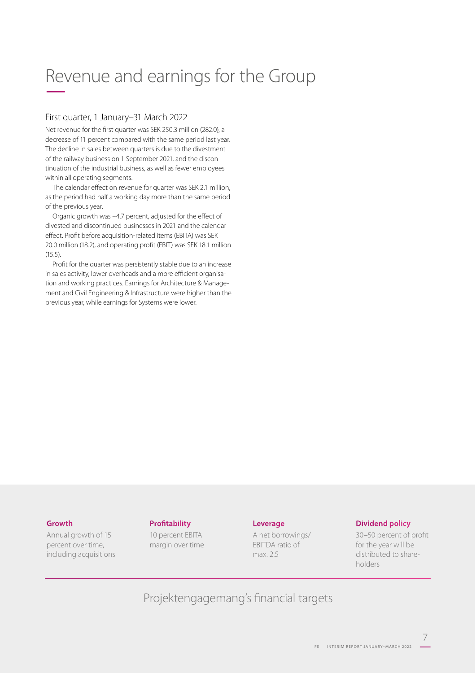# Revenue and earnings for the Group –

### First quarter, 1 January–31 March 2022

Net revenue for the first quarter was SEK 250.3 million (282.0), a decrease of 11 percent compared with the same period last year. The decline in sales between quarters is due to the divestment of the railway business on 1 September 2021, and the discontinuation of the industrial business, as well as fewer employees within all operating segments.

The calendar effect on revenue for quarter was SEK 2.1 million, as the period had half a working day more than the same period of the previous year.

Organic growth was –4.7 percent, adjusted for the effect of divested and discontinued businesses in 2021 and the calendar effect. Profit before acquisition-related items (EBITA) was SEK 20.0 million (18.2), and operating profit (EBIT) was SEK 18.1 million (15.5).

Profit for the quarter was persistently stable due to an increase in sales activity, lower overheads and a more efficient organisation and working practices. Earnings for Architecture & Management and Civil Engineering & Infrastructure were higher than the previous year, while earnings for Systems were lower.

### **Growth**

Annual growth of 15 percent over time, including acquisitions

### **Profitability**

10 percent EBITA margin over time

### **Leverage**

A net borrowings/ EBITDA ratio of max. 2.5

### **Dividend policy**

30–50 percent of profit for the year will be distributed to shareholders

7

Projektengagemang's financial targets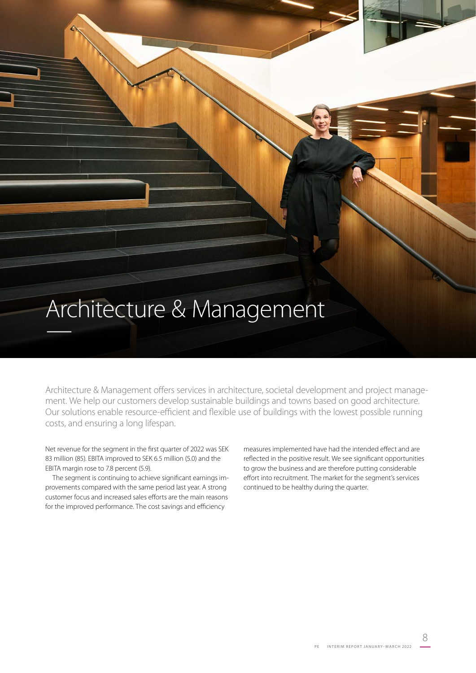# Architecture & Management –

Architecture & Management offers services in architecture, societal development and project management. We help our customers develop sustainable buildings and towns based on good architecture. Our solutions enable resource-efficient and flexible use of buildings with the lowest possible running costs, and ensuring a long lifespan.

Net revenue for the segment in the first quarter of 2022 was SEK 83 million (85). EBITA improved to SEK 6.5 million (5.0) and the EBITA margin rose to 7.8 percent (5.9).

The segment is continuing to achieve significant earnings improvements compared with the same period last year. A strong customer focus and increased sales efforts are the main reasons for the improved performance. The cost savings and efficiency

measures implemented have had the intended effect and are reflected in the positive result. We see significant opportunities to grow the business and are therefore putting considerable effort into recruitment. The market for the segment's services continued to be healthy during the quarter.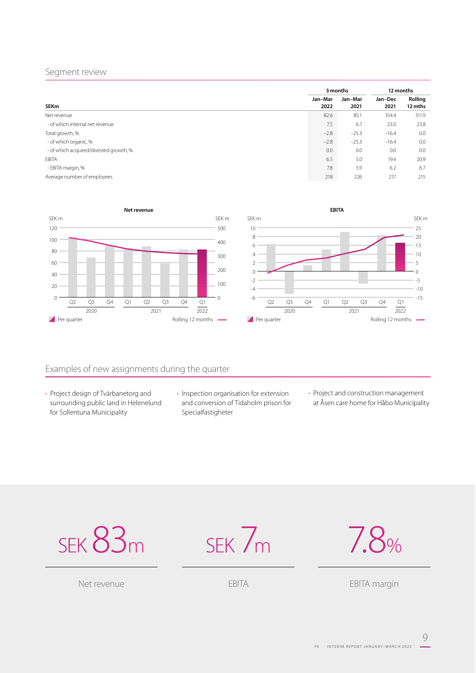### Segment review

|                                        | 3 months        |                 | 12 months       |                    |
|----------------------------------------|-----------------|-----------------|-----------------|--------------------|
| <b>SEKm</b>                            | Jan-Mar<br>2022 | Jan-Mar<br>2021 | Jan-Dec<br>2021 | Rolling<br>12 mths |
| Net revenue                            | 82.6            | 85.1            | 314.4           | 311.9              |
| - of which internal net revenue        | 7.5             | 6.7             | 23.0            | 23.8               |
| Total growth, %                        | $-2.8$          | $-25.3$         | $-16.4$         | 0.0                |
| - of which organic, %                  | $-2.8$          | $-25.3$         | $-16.4$         | 0.0                |
| - of which acquired/divested growth, % | 0.0             | 0.0             | 0.0             | 0.0                |
| <b>EBITA</b>                           | 6.5             | 5.0             | 19.4            | 20.9               |
| - EBITA margin, %                      | 7.8             | 5.9             | 6.2             | 6.7                |
| Average number of employees            | 218             | 226             | 217             | 215                |





# Examples of new assignments during the quarter

- Project design of Tvärbanetorg and surrounding public land in Helenelund for Sollentuna Municipality
- Inspection organisation for extension and conversion of Tidaholm prison for Specialfastigheter
- Project and construction management at Åsen care home for Håbo Municipality







EBITA margin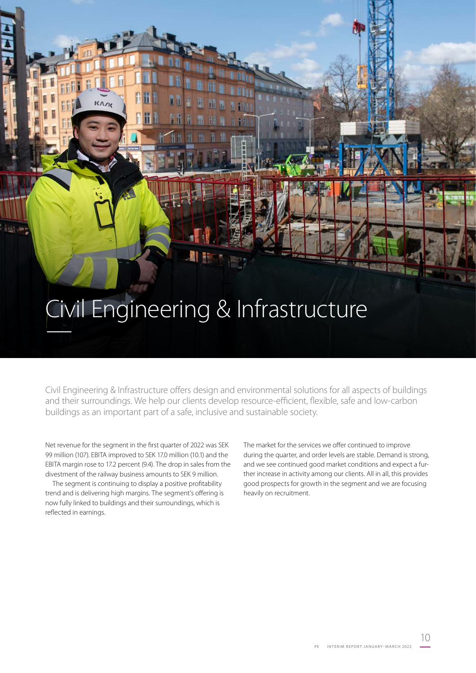# Civil Engineering & Infrastructure –

Civil Engineering & Infrastructure offers design and environmental solutions for all aspects of buildings and their surroundings. We help our clients develop resource-efficient, flexible, safe and low-carbon buildings as an important part of a safe, inclusive and sustainable society.

Net revenue for the segment in the first quarter of 2022 was SEK 99 million (107). EBITA improved to SEK 17.0 million (10.1) and the EBITA margin rose to 17.2 percent (9.4). The drop in sales from the divestment of the railway business amounts to SEK 9 million.

The segment is continuing to display a positive profitability trend and is delivering high margins. The segment's offering is now fully linked to buildings and their surroundings, which is reflected in earnings.

The market for the services we offer continued to improve during the quarter, and order levels are stable. Demand is strong, and we see continued good market conditions and expect a further increase in activity among our clients. All in all, this provides good prospects for growth in the segment and we are focusing heavily on recruitment.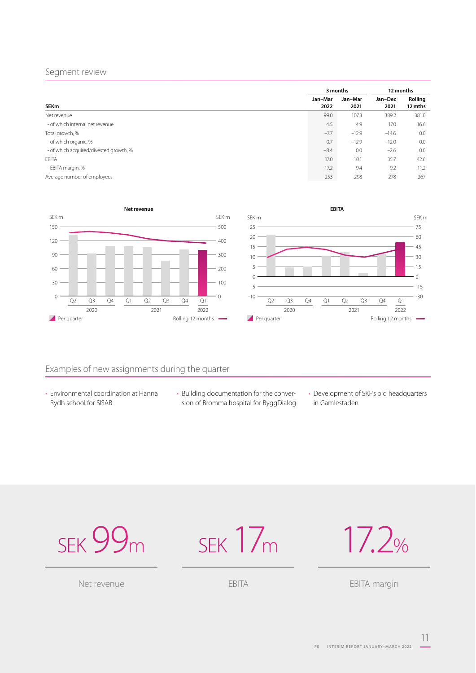### Segment review

|                                        | 3 months        |                 | 12 months       |                    |
|----------------------------------------|-----------------|-----------------|-----------------|--------------------|
| <b>SEKm</b>                            | Jan-Mar<br>2022 | Jan-Mar<br>2021 | Jan-Dec<br>2021 | Rolling<br>12 mths |
| Net revenue                            | 99.0            | 107.3           | 389.2           | 381.0              |
| - of which internal net revenue        | 4.5             | 4.9             | 17.0            | 16.6               |
| Total growth, %                        | $-7.7$          | $-12.9$         | $-14.6$         | 0.0                |
| - of which organic, %                  | 0.7             | $-12.9$         | $-12.0$         | 0.0                |
| - of which acquired/divested growth, % | $-8.4$          | 0.0             | $-2.6$          | 0.0                |
| <b>EBITA</b>                           | 17.0            | 10.1            | 35.7            | 42.6               |
| - EBITA margin, %                      | 17.2            | 9.4             | 9.2             | 11.2               |
| Average number of employees            | 253             | 298             | 278             | 267                |





# Examples of new assignments during the quarter

- Environmental coordination at Hanna Rydh school for SISAB
- Building documentation for the conversion of Bromma hospital for ByggDialog
- Development of SKF's old headquarters in Gamlestaden



SEK 17m

17.2%

EBITA margin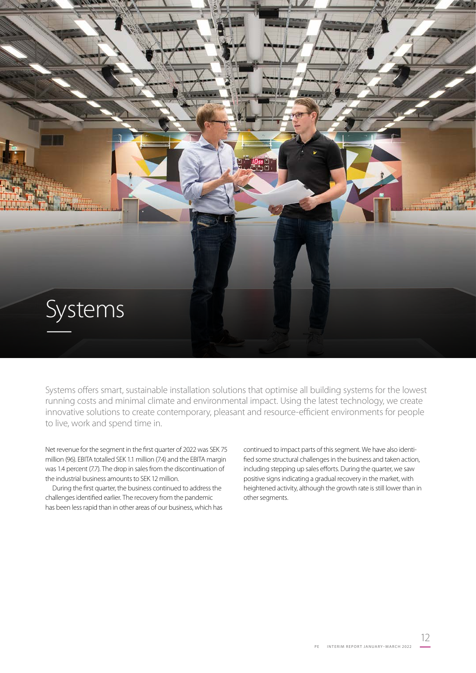

Systems offers smart, sustainable installation solutions that optimise all building systems for the lowest running costs and minimal climate and environmental impact. Using the latest technology, we create innovative solutions to create contemporary, pleasant and resource-efficient environments for people to live, work and spend time in.

Net revenue for the segment in the first quarter of 2022 was SEK 75 million (96). EBITA totalled SEK 1.1 million (7.4) and the EBITA margin was 1.4 percent (7.7). The drop in sales from the discontinuation of the industrial business amounts to SEK 12 million.

During the first quarter, the business continued to address the challenges identified earlier. The recovery from the pandemic has been less rapid than in other areas of our business, which has continued to impact parts of this segment. We have also identified some structural challenges in the business and taken action, including stepping up sales efforts. During the quarter, we saw positive signs indicating a gradual recovery in the market, with heightened activity, although the growth rate is still lower than in other segments.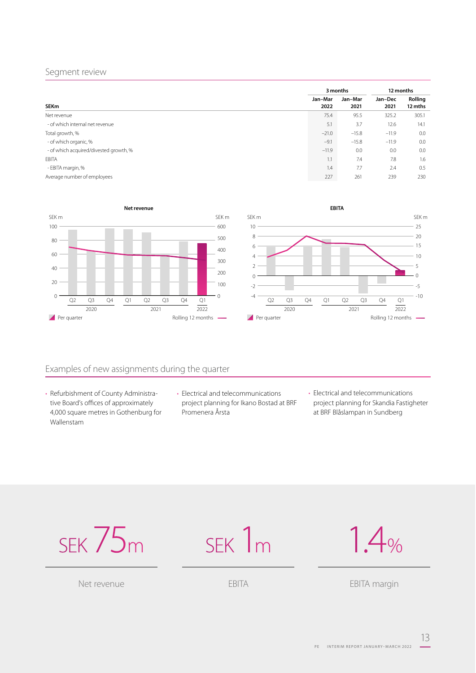### Segment review

|                                        | 3 months        |                 | 12 months       |                    |
|----------------------------------------|-----------------|-----------------|-----------------|--------------------|
| <b>SEKm</b>                            | Jan-Mar<br>2022 | Jan-Mar<br>2021 | Jan-Dec<br>2021 | Rolling<br>12 mths |
| Net revenue                            | 75.4            | 95.5            | 325.2           | 305.1              |
| - of which internal net revenue        | 5.1             | 3.7             | 12.6            | 14.1               |
| Total growth, %                        | $-21.0$         | $-15.8$         | $-11.9$         | 0.0                |
| - of which organic, %                  | $-9.1$          | $-15.8$         | $-11.9$         | 0.0                |
| - of which acquired/divested growth, % | $-11.9$         | 0.0             | 0.0             | 0.0                |
| EBITA                                  | 1.1             | 7.4             | 7.8             | 1.6                |
| - EBITA margin, %                      | 1.4             | 7.7             | 2.4             | 0.5                |
| Average number of employees            | 227             | 261             | 239             | 230                |





# Examples of new assignments during the quarter

- Refurbishment of County Administrative Board's offices of approximately 4,000 square metres in Gothenburg for Wallenstam
- Electrical and telecommunications project planning for Ikano Bostad at BRF Promenera Årsta
- Electrical and telecommunications project planning for Skandia Fastigheter at BRF Blåslampan in Sundberg





EBITA

1.4%

EBITA margin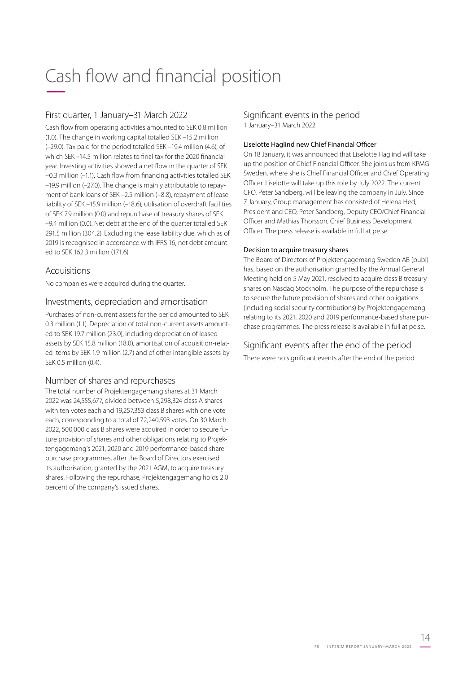# Cash flow and financial position –

# First quarter, 1 January–31 March 2022

Cash flow from operating activities amounted to SEK 0.8 million (1.0). The change in working capital totalled SEK –15.2 million (–29.0). Tax paid for the period totalled SEK –19.4 million (4.6), of which SEK –14.5 million relates to final tax for the 2020 financial year. Investing activities showed a net flow in the quarter of SEK –0.3 million (–1.1). Cash flow from financing activities totalled SEK –19.9 million (–27.0). The change is mainly attributable to repayment of bank loans of SEK –2.5 million (–8.8), repayment of lease liability of SEK –15.9 million (–18.6), utilisation of overdraft facilities of SEK 7.9 million (0.0) and repurchase of treasury shares of SEK –9.4 million (0.0). Net debt at the end of the quarter totalled SEK 291.5 million (304.2). Excluding the lease liability due, which as of 2019 is recognised in accordance with IFRS 16, net debt amounted to SEK 162.3 million (171.6).

### Acquisitions

No companies were acquired during the quarter.

# Investments, depreciation and amortisation

Purchases of non-current assets for the period amounted to SEK 0.3 million (1.1). Depreciation of total non-current assets amounted to SEK 19.7 million (23.0), including depreciation of leased assets by SEK 15.8 million (18.0), amortisation of acquisition-related items by SEK 1.9 million (2.7) and of other intangible assets by SEK 0.5 million (0.4).

### Number of shares and repurchases

The total number of Projektengagemang shares at 31 March 2022 was 24,555,677, divided between 5,298,324 class A shares with ten votes each and 19,257,353 class B shares with one vote each, corresponding to a total of 72,240,593 votes. On 30 March 2022, 500,000 class B shares were acquired in order to secure future provision of shares and other obligations relating to Projektengagemang's 2021, 2020 and 2019 performance-based share purchase programmes, after the Board of Directors exercised its authorisation, granted by the 2021 AGM, to acquire treasury shares. Following the repurchase, Projektengagemang holds 2.0 percent of the company's issued shares.

# Significant events in the period

1 January–31 March 2022

### Liselotte Haglind new Chief Financial Officer

On 18 January, it was announced that Liselotte Haglind will take up the position of Chief Financial Officer. She joins us from KPMG Sweden, where she is Chief Financial Officer and Chief Operating Officer. Liselotte will take up this role by July 2022. The current CFO, Peter Sandberg, will be leaving the company in July. Since 7 January, Group management has consisted of Helena Hed, President and CEO, Peter Sandberg, Deputy CEO/Chief Financial Officer and Mathias Thorsson, Chief Business Development Officer. The press release is available in full at pe.se.

### Decision to acquire treasury shares

The Board of Directors of Projektengagemang Sweden AB (publ) has, based on the authorisation granted by the Annual General Meeting held on 5 May 2021, resolved to acquire class B treasury shares on Nasdaq Stockholm. The purpose of the repurchase is to secure the future provision of shares and other obligations (including social security contributions) by Projektengagemang relating to its 2021, 2020 and 2019 performance-based share purchase programmes. The press release is available in full at pe.se.

# Significant events after the end of the period

There were no significant events after the end of the period.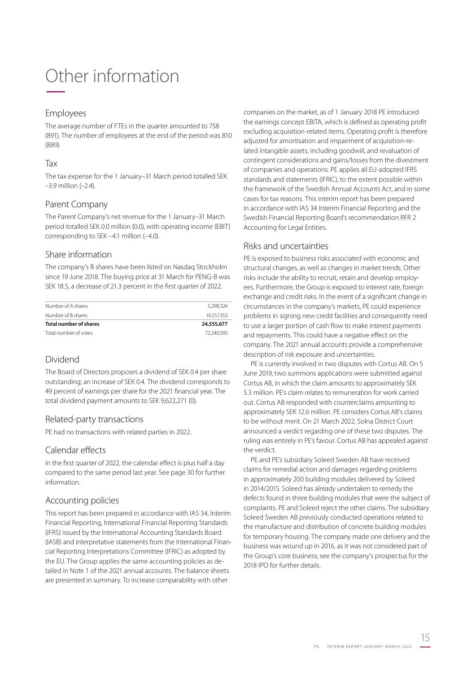# Other information

## Employees

The average number of FTEs in the quarter amounted to 758 (891). The number of employees at the end of the period was 810 (889).

### Tax

The tax expense for the 1 January–31 March period totalled SEK –3.9 million (–2.4).

# Parent Company

The Parent Company's net revenue for the 1 January–31 March period totalled SEK 0.0 million (0.0), with operating income (EBIT) corresponding to SEK –4.1 million (–4.0).

### Share information

The company's B shares have been listed on Nasdaq Stockholm since 19 June 2018. The buying price at 31 March for PENG-B was SEK 18.5, a decrease of 21.3 percent in the first quarter of 2022.

| Number of A shares     | 5.298.324  |
|------------------------|------------|
| Number of B shares     | 19.257.353 |
| Total number of shares | 24,555,677 |
| Total number of votes  | 72.240.593 |

# Dividend

The Board of Directors proposes a dividend of SEK 0.4 per share outstanding; an increase of SEK 0.4. The dividend corresponds to 49 percent of earnings per share for the 2021 financial year. The total dividend payment amounts to SEK 9,622,271 (0).

### Related-party transactions

PE had no transactions with related parties in 2022.

# Calendar effects

In the first quarter of 2022, the calendar effect is plus half a day compared to the same period last year. See page 30 for further information.

# Accounting policies

This report has been prepared in accordance with IAS 34, Interim Financial Reporting, International Financial Reporting Standards (IFRS) issued by the International Accounting Standards Board (IASB) and interpretative statements from the International Financial Reporting Interpretations Committee (IFRIC) as adopted by the EU. The Group applies the same accounting policies as detailed in Note 1 of the 2021 annual accounts. The balance sheets are presented in summary. To increase comparability with other

companies on the market, as of 1 January 2018 PE introduced the earnings concept EBITA, which is defined as operating profit excluding acquisition-related items. Operating profit is therefore adjusted for amortisation and impairment of acquisition-related intangible assets, including goodwill, and revaluation of contingent considerations and gains/losses from the divestment of companies and operations. PE applies all EU-adopted IFRS standards and statements (IFRIC), to the extent possible within the framework of the Swedish Annual Accounts Act, and in some cases for tax reasons. This interim report has been prepared in accordance with IAS 34 Interim Financial Reporting and the Swedish Financial Reporting Board's recommendation RFR 2 Accounting for Legal Entities.

# Risks and uncertainties

PE is exposed to business risks associated with economic and structural changes, as well as changes in market trends. Other risks include the ability to recruit, retain and develop employees. Furthermore, the Group is exposed to interest rate, foreign exchange and credit risks. In the event of a significant change in circumstances in the company's markets, PE could experience problems in signing new credit facilities and consequently need to use a larger portion of cash flow to make interest payments and repayments. This could have a negative effect on the company. The 2021 annual accounts provide a comprehensive description of risk exposure and uncertainties.

PE is currently involved in two disputes with Cortus AB. On 5 June 2019, two summons applications were submitted against Cortus AB, in which the claim amounts to approximately SEK 5.3 million. PE's claim relates to remuneration for work carried out. Cortus AB responded with counterclaims amounting to approximately SEK 12.6 million. PE considers Cortus AB's claims to be without merit. On 21 March 2022, Solna District Court announced a verdict regarding one of these two disputes. The ruling was entirely in PE's favour. Cortus AB has appealed against the verdict.

PE and PE's subsidiary Soleed Sweden AB have received claims for remedial action and damages regarding problems in approximately 200 building modules delivered by Soleed in 2014/2015. Soleed has already undertaken to remedy the defects found in three building modules that were the subject of complaints. PE and Soleed reject the other claims. The subsidiary Soleed Sweden AB previously conducted operations related to the manufacture and distribution of concrete building modules for temporary housing. The company made one delivery and the business was wound up in 2016, as it was not considered part of the Group's core business; see the company's prospectus for the 2018 IPO for further details.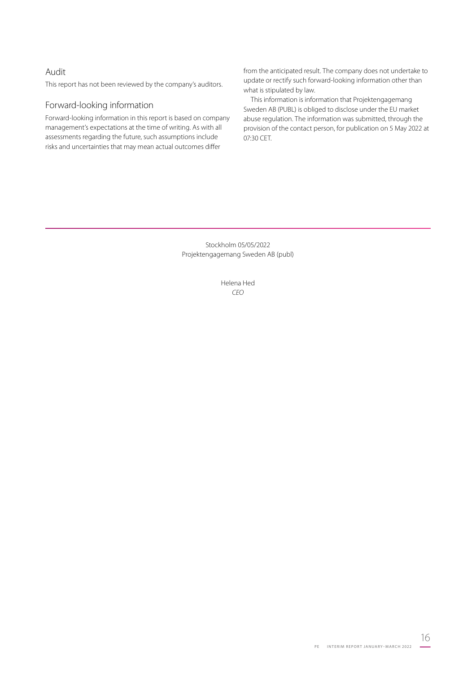### Audit

This report has not been reviewed by the company's auditors.

# Forward-looking information

Forward-looking information in this report is based on company management's expectations at the time of writing. As with all assessments regarding the future, such assumptions include risks and uncertainties that may mean actual outcomes differ

from the anticipated result. The company does not undertake to update or rectify such forward-looking information other than what is stipulated by law.

This information is information that Projektengagemang Sweden AB (PUBL) is obliged to disclose under the EU market abuse regulation. The information was submitted, through the provision of the contact person, for publication on 5 May 2022 at 07:30 CET.

Stockholm 05/05/2022 Projektengagemang Sweden AB (publ)

> Helena Hed *CEO*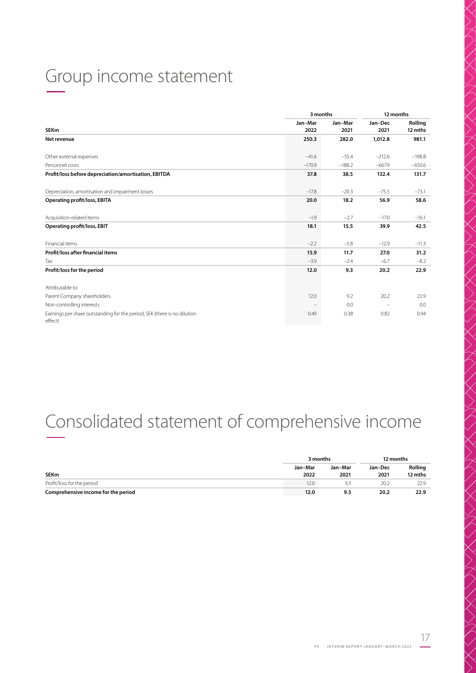# Group income statement –

|                                                                                     | 3 months        |                 | 12 months       |                    |  |
|-------------------------------------------------------------------------------------|-----------------|-----------------|-----------------|--------------------|--|
| <b>SEKm</b>                                                                         | Jan-Mar<br>2022 | Jan-Mar<br>2021 | Jan-Dec<br>2021 | Rolling<br>12 mths |  |
| Net revenue                                                                         | 250.3           | 282.0           | 1,012.8         | 981.1              |  |
| Other external expenses                                                             | $-41.6$         | $-55.4$         | $-212.6$        | $-198.8$           |  |
| Personnel costs                                                                     | $-170.9$        | $-188.2$        | $-667.9$        | $-650.6$           |  |
| Profit/loss before depreciation/amortisation, EBITDA                                | 37.8            | 38.5            | 132.4           | 131.7              |  |
| Depreciation, amortisation and impairment losses                                    | $-17.8$         | $-20.3$         | $-75.5$         | $-73.1$            |  |
| <b>Operating profit/loss, EBITA</b>                                                 | 20.0            | 18.2            | 56.9            | 58.6               |  |
| Acquisition-related items                                                           | $-1.9$          | $-2.7$          | $-17.0$         | $-16.1$            |  |
| Operating profit/loss, EBIT                                                         | 18.1            | 15.5            | 39.9            | 42.5               |  |
| Financial items                                                                     | $-2.2$          | $-3.8$          | $-12.9$         | $-11.3$            |  |
| Profit/loss after financial items                                                   | 15.9            | 11.7            | 27.0            | 31.2               |  |
| Tax                                                                                 | $-3.9$          | $-2.4$          | $-6.7$          | $-8.2$             |  |
| Profit/loss for the period                                                          | 12.0            | 9.3             | 20.2            | 22.9               |  |
| Attributable to:                                                                    |                 |                 |                 |                    |  |
| Parent Company shareholders                                                         | 12.0            | 9.2             | 20.2            | 22.9               |  |
| Non-controlling interests                                                           |                 | 0.0             |                 | 0.0                |  |
| Earnings per share outstanding for the period, SEK (there is no dilution<br>effect) | 0.49            | 0.38            | 0.82            | 0.94               |  |

# Consolidated statement of comprehensive income –

|                                     | 3 months        |                 | 12 months       |                    |
|-------------------------------------|-----------------|-----------------|-----------------|--------------------|
| <b>SEKm</b>                         | Jan-Mar<br>2022 | Jan-Mar<br>2021 | Jan-Dec<br>2021 | Rolling<br>12 mths |
| Profit/loss for the period          | 12.0            | Q =             | 20.2            | 22.9               |
| Comprehensive income for the period | 12.0            | 9.3             | 20.2            | 22.9               |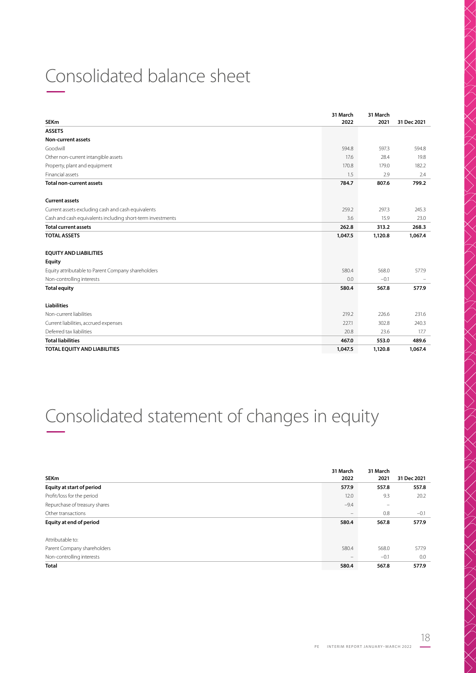# Consolidated balance sheet –

| <b>SEKm</b>                                                | 31 March<br>2022 | 31 March<br>2021 | 31 Dec 2021              |
|------------------------------------------------------------|------------------|------------------|--------------------------|
| <b>ASSETS</b>                                              |                  |                  |                          |
| Non-current assets                                         |                  |                  |                          |
| Goodwill                                                   | 594.8            | 597.3            | 594.8                    |
| Other non-current intangible assets                        | 17.6             | 28.4             | 19.8                     |
| Property, plant and equipment                              | 170.8            | 179.0            | 182.2                    |
| Financial assets                                           | 1.5              | 2.9              | 2.4                      |
| <b>Total non-current assets</b>                            | 784.7            | 807.6            | 799.2                    |
| <b>Current assets</b>                                      |                  |                  |                          |
| Current assets excluding cash and cash equivalents         | 259.2            | 297.3            | 245.3                    |
| Cash and cash equivalents including short-term investments | 3.6              | 15.9             | 23.0                     |
| <b>Total current assets</b>                                | 262.8            | 313.2            | 268.3                    |
| <b>TOTAL ASSETS</b>                                        | 1,047.5          | 1,120.8          | 1,067.4                  |
| <b>EQUITY AND LIABILITIES</b>                              |                  |                  |                          |
| <b>Equity</b>                                              |                  |                  |                          |
| Equity attributable to Parent Company shareholders         | 580.4            | 568.0            | 577.9                    |
| Non-controlling interests                                  | 0.0              | $-0.1$           | $\overline{\phantom{a}}$ |
| <b>Total equity</b>                                        | 580.4            | 567.8            | 577.9                    |
| <b>Liabilities</b>                                         |                  |                  |                          |
| Non-current liabilities                                    | 219.2            | 226.6            | 231.6                    |
| Current liabilities, accrued expenses                      | 227.1            | 302.8            | 240.3                    |
| Deferred tax liabilities                                   | 20.8             | 23.6             | 17.7                     |
| <b>Total liabilities</b>                                   | 467.0            | 553.0            | 489.6                    |
| TOTAL EQUITY AND LIABILITIES                               | 1.047.5          | 1,120.8          | 1,067.4                  |

# Consolidated statement of changes in equity –

|                               | 31 March | 31 March |             |
|-------------------------------|----------|----------|-------------|
| <b>SEKm</b>                   | 2022     | 2021     | 31 Dec 2021 |
| Equity at start of period     | 577.9    | 557.8    | 557.8       |
| Profit/loss for the period    | 12.0     | 9.3      | 20.2        |
| Repurchase of treasury shares | $-9.4$   | -        |             |
| Other transactions            |          | 0.8      | $-0.1$      |
| Equity at end of period       | 580.4    | 567.8    | 577.9       |
|                               |          |          |             |
| Attributable to:              |          |          |             |
| Parent Company shareholders   | 580.4    | 568.0    | 577.9       |
| Non-controlling interests     |          | $-0.1$   | 0.0         |
| <b>Total</b>                  | 580.4    | 567.8    | 577.9       |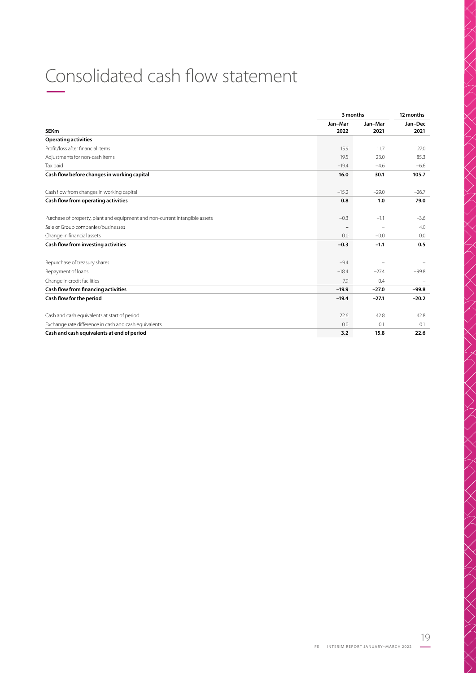# Consolidated cash flow statement –

|                                                                             |                 | 3 months        |                 |  |
|-----------------------------------------------------------------------------|-----------------|-----------------|-----------------|--|
| <b>SEKm</b>                                                                 | Jan-Mar<br>2022 | Jan-Mar<br>2021 | Jan-Dec<br>2021 |  |
| <b>Operating activities</b>                                                 |                 |                 |                 |  |
| Profit/loss after financial items                                           | 15.9            | 11.7            | 27.0            |  |
| Adjustments for non-cash items                                              | 19.5            | 23.0            | 85.3            |  |
| Tax paid                                                                    | $-19.4$         | $-4.6$          | $-6.6$          |  |
| Cash flow before changes in working capital                                 | 16.0            | 30.1            | 105.7           |  |
| Cash flow from changes in working capital                                   | $-15.2$         | $-29.0$         | $-26.7$         |  |
| Cash flow from operating activities                                         | 0.8             | 1.0             | 79.0            |  |
| Purchase of property, plant and equipment and non-current intangible assets | $-0.3$          | $-1.1$          | $-3.6$          |  |
| Sale of Group companies/businesses                                          |                 |                 | 4.0             |  |
| Change in financial assets                                                  | 0.0             | $-0.0$          | 0.0             |  |
| Cash flow from investing activities                                         | $-0.3$          | $-1.1$          | 0.5             |  |
| Repurchase of treasury shares                                               | $-9.4$          |                 |                 |  |
| Repayment of loans                                                          | $-18.4$         | $-27.4$         | $-99.8$         |  |
| Change in credit facilities                                                 | 7.9             | 0.4             |                 |  |
| Cash flow from financing activities                                         | $-19.9$         | $-27.0$         | $-99.8$         |  |
| Cash flow for the period                                                    | $-19.4$         | $-27.1$         | $-20.2$         |  |
| Cash and cash equivalents at start of period                                | 22.6            | 42.8            | 42.8            |  |
| Exchange rate difference in cash and cash equivalents                       | 0.0             | 0.1             | 0.1             |  |
| Cash and cash equivalents at end of period                                  | 3.2             | 15.8            | 22.6            |  |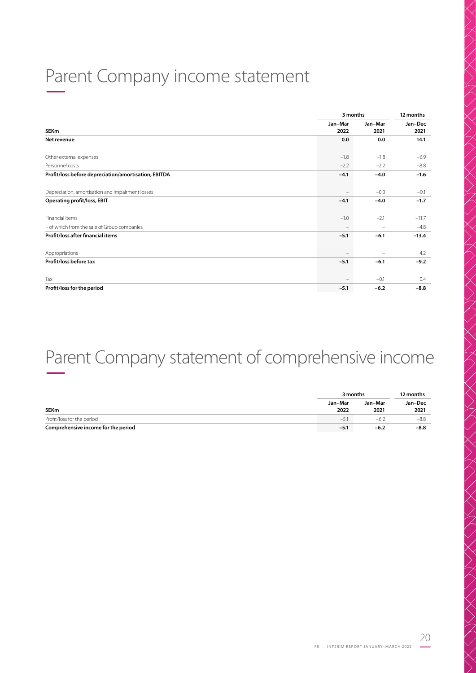# Parent Company income statement –

|                                                      |                 | 3 months        |                 |  |
|------------------------------------------------------|-----------------|-----------------|-----------------|--|
| <b>SEKm</b>                                          | Jan-Mar<br>2022 | Jan-Mar<br>2021 | Jan-Dec<br>2021 |  |
| Net revenue                                          | 0.0             | 0.0             | 14.1            |  |
| Other external expenses                              | $-1.8$          | $-1.8$          | $-6.9$          |  |
| Personnel costs                                      | $-2.2$          | $-2.2$          | $-8.8$          |  |
| Profit/loss before depreciation/amortisation, EBITDA | $-4.1$          | $-4.0$          | $-1.6$          |  |
| Depreciation, amortisation and impairment losses     |                 | $-0.0$          | $-0.1$          |  |
| <b>Operating profit/loss, EBIT</b>                   | $-4.1$          | $-4.0$          | $-1.7$          |  |
| Financial items                                      | $-1.0$          | $-2.1$          | $-11.7$         |  |
| - of which from the sale of Group companies          |                 |                 | $-4.8$          |  |
| Profit/loss after financial items                    | $-5.1$          | $-6.1$          | $-13.4$         |  |
| Appropriations                                       |                 |                 | 4.2             |  |
| Profit/loss before tax                               | $-5.1$          | $-6.1$          | $-9.2$          |  |
| Tax                                                  |                 | $-0.1$          | 0.4             |  |
| Profit/loss for the period                           | $-5.1$          | $-6.2$          | $-8.8$          |  |

# Parent Company statement of comprehensive income –

|                                     | 3 months | 12 months |         |
|-------------------------------------|----------|-----------|---------|
|                                     | Jan-Mar  | Jan-Mar   | Jan-Dec |
| <b>SEKm</b>                         | 2022     | 2021      | 2021    |
| Profit/loss for the period          | $-5$     | $-6.2$    | $-8.8$  |
| Comprehensive income for the period | $-5.1$   | $-6.2$    | $-8.8$  |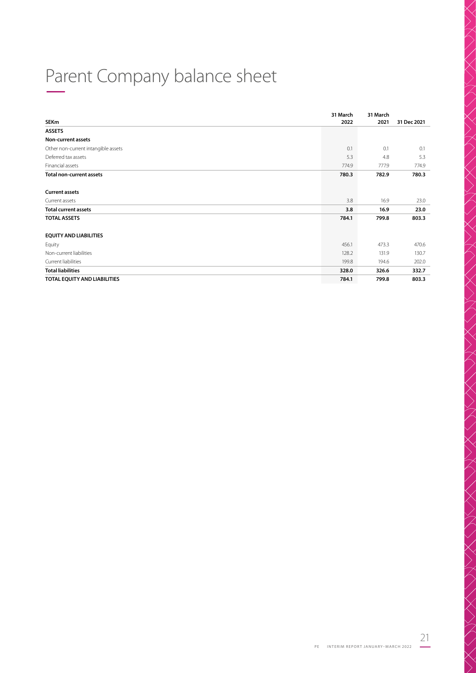# Parent Company balance sheet –

|                                     | 31 March | 31 March |             |
|-------------------------------------|----------|----------|-------------|
| <b>SEKm</b>                         | 2022     | 2021     | 31 Dec 2021 |
| <b>ASSETS</b>                       |          |          |             |
| <b>Non-current assets</b>           |          |          |             |
| Other non-current intangible assets | 0.1      | 0.1      | 0.1         |
| Deferred tax assets                 | 5.3      | 4.8      | 5.3         |
| Financial assets                    | 774.9    | 777.9    | 774.9       |
| <b>Total non-current assets</b>     | 780.3    | 782.9    | 780.3       |
| <b>Current assets</b>               |          |          |             |
| Current assets                      | 3.8      | 16.9     | 23.0        |
| <b>Total current assets</b>         | 3.8      | 16.9     | 23.0        |
| <b>TOTAL ASSETS</b>                 | 784.1    | 799.8    | 803.3       |
| <b>EQUITY AND LIABILITIES</b>       |          |          |             |
| Equity                              | 456.1    | 473.3    | 470.6       |
| Non-current liabilities             | 128.2    | 131.9    | 130.7       |
| Current liabilities                 | 199.8    | 194.6    | 202.0       |
| <b>Total liabilities</b>            | 328.0    | 326.6    | 332.7       |
| TOTAL EQUITY AND LIABILITIES        | 784.1    | 799.8    | 803.3       |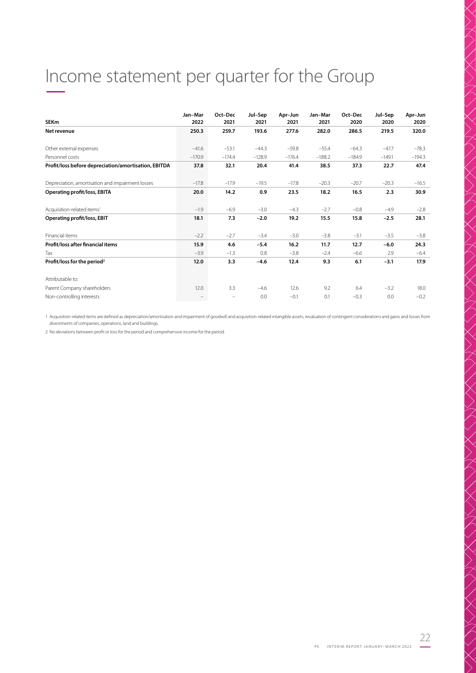# Income statement per quarter for the Group –

| <b>SEKm</b>                                          | Jan-Mar<br>2022 | Oct-Dec<br>2021          | Jul-Sep<br>2021 | Apr-Jun<br>2021 | Jan-Mar<br>2021 | Oct-Dec<br>2020 | Jul-Sep<br>2020 | Apr-Jun<br>2020 |
|------------------------------------------------------|-----------------|--------------------------|-----------------|-----------------|-----------------|-----------------|-----------------|-----------------|
| Net revenue                                          | 250.3           | 259.7                    | 193.6           | 277.6           | 282.0           | 286.5           | 219.5           | 320.0           |
| Other external expenses                              | $-41.6$         | $-53.1$                  | $-44.3$         | $-59.8$         | $-55.4$         | $-64.3$         | $-47.7$         | $-78.3$         |
| Personnel costs                                      | $-170.9$        | $-174.4$                 | $-128.9$        | $-176.4$        | $-188.2$        | $-184.9$        | $-149.1$        | $-194.3$        |
| Profit/loss before depreciation/amortisation, EBITDA | 37.8            | 32.1                     | 20.4            | 41.4            | 38.5            | 37.3            | 22.7            | 47.4            |
| Depreciation, amortisation and impairment losses     | $-17.8$         | $-17.9$                  | $-19.5$         | $-17.8$         | $-20.3$         | $-20.7$         | $-20.3$         | $-16.5$         |
| <b>Operating profit/loss, EBITA</b>                  | 20.0            | 14.2                     | 0.9             | 23.5            | 18.2            | 16.5            | 2.3             | 30.9            |
| Acquisition-related items <sup>1</sup>               | $-1.9$          | $-6.9$                   | $-3.0$          | $-4.3$          | $-2.7$          | $-0.8$          | $-4.9$          | $-2.8$          |
| <b>Operating profit/loss, EBIT</b>                   | 18.1            | 7.3                      | $-2.0$          | 19.2            | 15.5            | 15.8            | $-2.5$          | 28.1            |
| Financial items                                      | $-2.2$          | $-2.7$                   | $-3.4$          | $-3.0$          | $-3.8$          | $-3.1$          | $-3.5$          | $-3.8$          |
| Profit/loss after financial items                    | 15.9            | 4.6                      | $-5.4$          | 16.2            | 11.7            | 12.7            | $-6.0$          | 24.3            |
| Tax                                                  | $-3.9$          | $-1.3$                   | 0.8             | $-3.8$          | $-2.4$          | $-6.6$          | 2.9             | $-6.4$          |
| Profit/loss for the period <sup>2</sup>              | 12.0            | 3.3                      | $-4.6$          | 12.4            | 9.3             | 6.1             | $-3.1$          | 17.9            |
| Attributable to:                                     |                 |                          |                 |                 |                 |                 |                 |                 |
| Parent Company shareholders                          | 12.0            | 3.3                      | $-4.6$          | 12.6            | 9.2             | 6.4             | $-3.2$          | 18.0            |
| Non-controlling interests                            |                 | $\overline{\phantom{m}}$ | 0.0             | $-0.1$          | 0.1             | $-0.3$          | 0.0             | $-0.2$          |

1 Acquisition-related items are defined as depreciation/amortisation and impairment of goodwill and acquisition-related intangible assets, revaluation of contingent considerations and gains and losses from<br>divestments of c

2 No deviations between profit or loss for the period and comprehensive income for the period.

22

/////////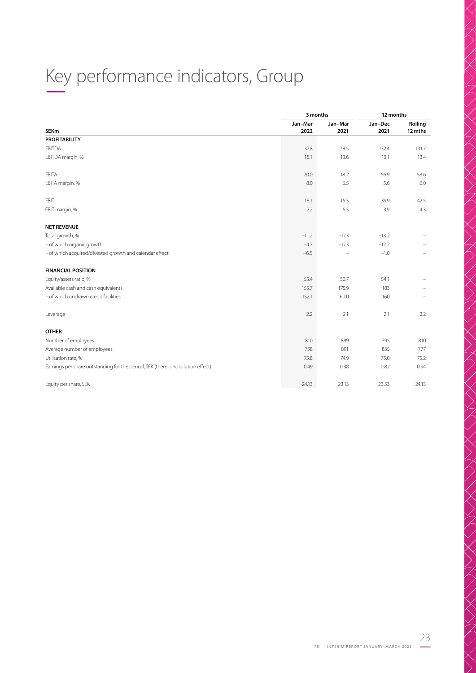# Key performance indicators, Group –

|                                                                                  |                 | 3 months        | 12 months       |                          |
|----------------------------------------------------------------------------------|-----------------|-----------------|-----------------|--------------------------|
| <b>SEKm</b>                                                                      | Jan-Mar<br>2022 | Jan-Mar<br>2021 | Jan-Dec<br>2021 | Rolling<br>12 mths       |
| <b>PROFITABILITY</b>                                                             |                 |                 |                 |                          |
| <b>EBITDA</b>                                                                    | 37.8            | 38.5            | 132.4           | 131.7                    |
| EBITDA margin, %                                                                 | 15.1            | 13.6            | 13.1            | 13.4                     |
| EBITA                                                                            | 20.0            | 18.2            | 56.9            | 58.6                     |
| EBITA margin, %                                                                  | 8.0             | 6.5             | 5.6             | 6.0                      |
| EBIT                                                                             | 18.1            | 15.5            | 39.9            | 42.5                     |
| EBIT margin, %                                                                   | 7.2             | 5.5             | 3.9             | 4.3                      |
| <b>NET REVENUE</b>                                                               |                 |                 |                 |                          |
| Total growth, %                                                                  | $-11.2$         | $-17.3$         | $-13.2$         |                          |
| - of which organic growth                                                        | $-4.7$          | $-17.3$         | $-12.2$         |                          |
| - of which acquired/divested growth and calendar effect                          | $-6.5$          |                 | $-1.0$          | $\overline{\phantom{0}}$ |
| <b>FINANCIAL POSITION</b>                                                        |                 |                 |                 |                          |
| Equity/assets ratio, %                                                           | 55.4            | 50.7            | 54.1            |                          |
| Available cash and cash equivalents                                              | 155.7           | 175.9           | 183             |                          |
| - of which undrawn credit facilities                                             | 152.1           | 160.0           | 160             | $\overline{\phantom{m}}$ |
| Leverage                                                                         | 2.2             | 2.1             | 2.1             | 2.2                      |
| <b>OTHER</b>                                                                     |                 |                 |                 |                          |
| Number of employees                                                              | 810             | 889             | 795             | 810                      |
| Average number of employees                                                      | 758             | 891             | 835             | 777                      |
| Utilisation rate, %                                                              | 75.8            | 74.9            | 75.0            | 75.2                     |
| Earnings per share outstanding for the period, SEK (there is no dilution effect) | 0.49            | 0.38            | 0.82            | 0.94                     |
| Equity per share, SEK                                                            | 24.13           | 23.13           | 23.53           | 24.13                    |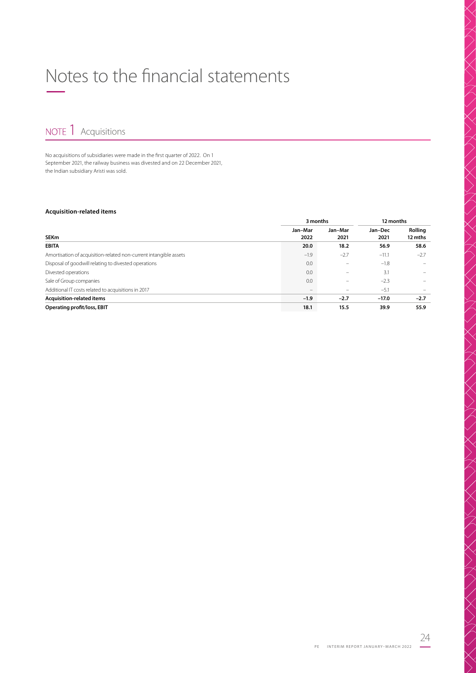# Notes to the financial statements –

NOTE 1 Acquisitions

No acquisitions of subsidiaries were made in the first quarter of 2022. On 1 September 2021, the railway business was divested and on 22 December 2021, the Indian subsidiary Aristi was sold.

### **Acquisition-related items**

|                                                                   | 3 months        |                 |                 | 12 months          |  |
|-------------------------------------------------------------------|-----------------|-----------------|-----------------|--------------------|--|
| <b>SEKm</b>                                                       | Jan-Mar<br>2022 | Jan-Mar<br>2021 | Jan-Dec<br>2021 | Rolling<br>12 mths |  |
| <b>EBITA</b>                                                      | 20.0            | 18.2            | 56.9            | 58.6               |  |
| Amortisation of acquisition-related non-current intangible assets | $-1.9$          | $-2.7$          | $-11.1$         | $-2.7$             |  |
| Disposal of goodwill relating to divested operations              | 0.0             |                 | $-1.8$          |                    |  |
| Divested operations                                               | 0.0             |                 | 3.1             |                    |  |
| Sale of Group companies                                           | 0.0             |                 | $-2.3$          |                    |  |
| Additional IT costs related to acquisitions in 2017               |                 |                 | $-5.1$          |                    |  |
| Acquisition-related items                                         | $-1.9$          | $-2.7$          | $-17.0$         | $-2.7$             |  |
| Operating profit/loss, EBIT                                       | 18.1            | 15.5            | 39.9            | 55.9               |  |

 $\begin{equation*} \begin{equation*} \begin{equation*} \begin{equation*} \begin{equation*} \begin{equation*} \begin{equation*} \begin{equation*} \begin{equation*} \begin{equation*} \begin{equation*} \begin{equation*} \begin{equation*} \begin{array} \begin{array} \begin{array} \end{array} \end{equation*} \end{equation*} \end{equation*} \end{equation*} \end{equation*} \end{equation*} \begin{equation*} \begin{equation*} \begin{equation*} \begin{array} \begin{array} \end{array} \end{equation*} \begin{array} \begin{array} \end{array} \end{equation*} \begin$ 

 $\left\langle \left\langle \right\rangle \right\rangle$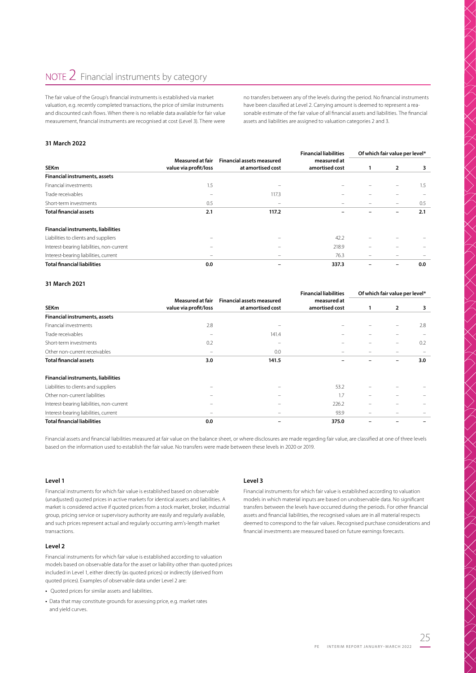The fair value of the Group's financial instruments is established via market valuation, e.g. recently completed transactions, the price of similar instruments and discounted cash flows. When there is no reliable data available for fair value measurement, financial instruments are recognised at cost (Level 3). There were

no transfers between any of the levels during the period. No financial instruments have been classified at Level 2. Carrying amount is deemed to represent a reasonable estimate of the fair value of all financial assets and liabilities. The financial assets and liabilities are assigned to valuation categories 2 and 3.

### **31 March 2022**

|                                           |                          |                                  | <b>Financial liabilities</b> |                                                                                                                                                              | Of which fair value per level* |     |
|-------------------------------------------|--------------------------|----------------------------------|------------------------------|--------------------------------------------------------------------------------------------------------------------------------------------------------------|--------------------------------|-----|
|                                           | Measured at fair         | <b>Financial assets measured</b> | measured at                  |                                                                                                                                                              |                                |     |
| <b>SEKm</b>                               | value via profit/loss    | at amortised cost                | amortised cost               | 1                                                                                                                                                            | 2                              | 3   |
| <b>Financial instruments, assets</b>      |                          |                                  |                              |                                                                                                                                                              |                                |     |
| Financial investments                     | 1.5                      |                                  |                              |                                                                                                                                                              |                                | 1.5 |
| Trade receivables                         |                          | 117.3                            |                              |                                                                                                                                                              |                                |     |
| Short-term investments                    | 0.5                      |                                  |                              |                                                                                                                                                              |                                | 0.5 |
| <b>Total financial assets</b>             | 2.1                      | 117.2                            |                              |                                                                                                                                                              |                                | 2.1 |
| <b>Financial instruments, liabilities</b> |                          |                                  |                              |                                                                                                                                                              |                                |     |
| Liabilities to clients and suppliers      |                          |                                  | 42.2                         |                                                                                                                                                              |                                |     |
| Interest-bearing liabilities, non-current | $\qquad \qquad$          |                                  | 218.9                        |                                                                                                                                                              |                                |     |
| Interest-bearing liabilities, current     | $\overline{\phantom{m}}$ |                                  | 76.3                         | $\hspace{0.1cm} \rule{0.7cm}{0.1cm} \hspace{0.1cm} \hspace{0.1cm} \hspace{0.1cm} \hspace{0.1cm} \hspace{0.1cm} \hspace{0.1cm} \hspace{0.1cm} \hspace{0.1cm}$ |                                |     |
| <b>Total financial liabilities</b>        | 0.0                      |                                  | 337.3                        |                                                                                                                                                              |                                | 0.0 |

#### **31 March 2021**

|                                           |                                                  |                                                       | <b>Financial liabilities</b>  | Of which fair value per level* |                          |     |  |
|-------------------------------------------|--------------------------------------------------|-------------------------------------------------------|-------------------------------|--------------------------------|--------------------------|-----|--|
| <b>SEKm</b>                               | <b>Measured at fair</b><br>value via profit/loss | <b>Financial assets measured</b><br>at amortised cost | measured at<br>amortised cost |                                | $\overline{2}$           | 3   |  |
| <b>Financial instruments, assets</b>      |                                                  |                                                       |                               |                                |                          |     |  |
| Financial investments                     | 2.8                                              |                                                       |                               |                                | $\overline{\phantom{0}}$ | 2.8 |  |
| Trade receivables                         | $\overline{\phantom{0}}$                         | 141.4                                                 |                               |                                | $\overline{\phantom{0}}$ |     |  |
| Short-term investments                    | 0.2                                              | -                                                     |                               | -                              | $\overline{\phantom{0}}$ | 0.2 |  |
| Other non-current receivables             | $\overline{\phantom{0}}$                         | 0.0                                                   |                               |                                | $\overline{\phantom{0}}$ |     |  |
| <b>Total financial assets</b>             | 3.0                                              | 141.5                                                 |                               |                                | -                        | 3.0 |  |
| <b>Financial instruments, liabilities</b> |                                                  |                                                       |                               |                                |                          |     |  |
| Liabilities to clients and suppliers      | -                                                |                                                       | 53.2                          |                                |                          |     |  |
| Other non-current liabilities             |                                                  |                                                       | 1.7                           | $\overline{\phantom{0}}$       |                          |     |  |
| Interest-bearing liabilities, non-current |                                                  |                                                       | 226.2                         |                                |                          |     |  |
| Interest-bearing liabilities, current     | $\overline{\phantom{0}}$                         |                                                       | 93.9                          | $\overline{\phantom{0}}$       |                          |     |  |
| <b>Total financial liabilities</b>        | 0.0                                              |                                                       | 375.0                         |                                |                          |     |  |

Financial assets and financial liabilities measured at fair value on the balance sheet, or where disclosures are made regarding fair value, are classified at one of three levels based on the information used to establish the fair value. No transfers were made between these levels in 2020 or 2019.

#### **Level 1**

Financial instruments for which fair value is established based on observable (unadjusted) quoted prices in active markets for identical assets and liabilities. A market is considered active if quoted prices from a stock market, broker, industrial group, pricing service or supervisory authority are easily and regularly available, and such prices represent actual and regularly occurring arm's-length market transactions.

### **Level 2**

Financial instruments for which fair value is established according to valuation models based on observable data for the asset or liability other than quoted prices included in Level 1, either directly (as quoted prices) or indirectly (derived from quoted prices). Examples of observable data under Level 2 are:

- Quoted prices for similar assets and liabilities.
- **•** Data that may constitute grounds for assessing price, e.g. market rates and yield curves.

#### **Level 3**

Financial instruments for which fair value is established according to valuation models in which material inputs are based on unobservable data. No significant transfers between the levels have occurred during the periods. For other financial assets and financial liabilities, the recognised values are in all material respects deemed to correspond to the fair values. Recognised purchase considerations and financial investments are measured based on future earnings forecasts.

 $\bigtimes$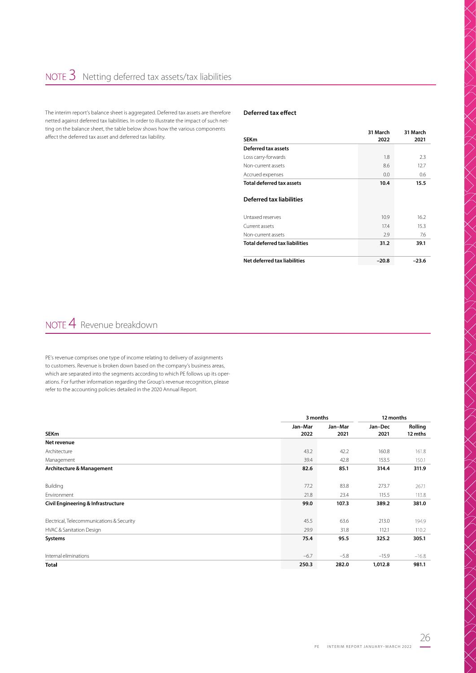The interim report's balance sheet is aggregated. Deferred tax assets are therefore netted against deferred tax liabilities. In order to illustrate the impact of such netting on the balance sheet, the table below shows how the various components affect the deferred tax asset and deferred tax liability.

### **Deferred tax effect**

| <b>SEKm</b>                           | 31 March<br>2022 | 31 March<br>2021 |
|---------------------------------------|------------------|------------------|
| Deferred tax assets                   |                  |                  |
| Loss carry-forwards                   | 1.8              | 2.3              |
| Non-current assets                    | 8.6              | 12.7             |
| Accrued expenses                      | 0.0              | 0.6              |
| <b>Total deferred tax assets</b>      | 10.4             | 15.5             |
| Deferred tax liabilities              |                  |                  |
| Untaxed reserves                      | 10.9             | 16.2             |
| Current assets                        | 17.4             | 15.3             |
| Non-current assets                    | 2.9              | 7.6              |
| <b>Total deferred tax liabilities</b> | 31.2             | 39.1             |
| Net deferred tax liabilities          | $-20.8$          | $-23.6$          |

# NOTE 4 Revenue breakdown

PE's revenue comprises one type of income relating to delivery of assignments to customers. Revenue is broken down based on the company's business areas, which are separated into the segments according to which PE follows up its operations. For further information regarding the Group's revenue recognition, please refer to the accounting policies detailed in the 2020 Annual Report.

|                                           |         | 3 months | 12 months |         |
|-------------------------------------------|---------|----------|-----------|---------|
|                                           | Jan-Mar | Jan-Mar  | Jan-Dec   | Rolling |
| <b>SEKm</b>                               | 2022    | 2021     | 2021      | 12 mths |
| Net revenue                               |         |          |           |         |
| Architecture                              | 43.2    | 42.2     | 160.8     | 161.8   |
| Management                                | 39.4    | 42.8     | 153.5     | 150.1   |
| Architecture & Management                 | 82.6    | 85.1     | 314.4     | 311.9   |
| Building                                  | 77.2    | 83.8     | 273.7     | 267.1   |
| Environment                               | 21.8    | 23.4     | 115.5     | 113.8   |
| Civil Engineering & Infrastructure        | 99.0    | 107.3    | 389.2     | 381.0   |
| Electrical, Telecommunications & Security | 45.5    | 63.6     | 213.0     | 194.9   |
| HVAC & Sanitation Design                  | 29.9    | 31.8     | 112.1     | 110.2   |
| Systems                                   | 75.4    | 95.5     | 325.2     | 305.1   |
| Internal eliminations                     | $-6.7$  | $-5.8$   | $-15.9$   | $-16.8$ |
| <b>Total</b>                              | 250.3   | 282.0    | 1,012.8   | 981.1   |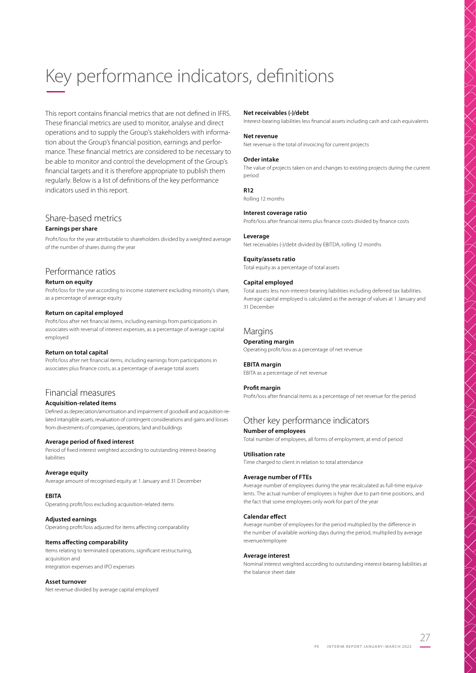# Key performance indicators, definitions –

This report contains financial metrics that are not defined in IFRS. These financial metrics are used to monitor, analyse and direct operations and to supply the Group's stakeholders with information about the Group's financial position, earnings and performance. These financial metrics are considered to be necessary to be able to monitor and control the development of the Group's financial targets and it is therefore appropriate to publish them regularly. Below is a list of definitions of the key performance indicators used in this report.

### Share-based metrics

### **Earnings per share**

Profit/loss for the year attributable to shareholders divided by a weighted average of the number of shares during the year

### Performance ratios

### **Return on equity**

Profit/loss for the year according to income statement excluding minority's share, as a percentage of average equity

#### **Return on capital employed**

Profit/loss after net financial items, including earnings from participations in associates with reversal of interest expenses, as a percentage of average capital employed

#### **Return on total capital**

Profit/loss after net financial items, including earnings from participations in associates plus finance costs, as a percentage of average total assets

### Financial measures

### **Acquisition-related items**

Defined as depreciation/amortisation and impairment of goodwill and acquisition-related intangible assets, revaluation of contingent considerations and gains and losses from divestments of companies, operations, land and buildings

#### **Average period of fixed interest**

Period of fixed interest weighted according to outstanding interest-bearing liabilities

#### **Average equity**

Average amount of recognised equity at 1 January and 31 December

#### **EBITA**

Operating profit/loss excluding acquisition-related items

### **Adjusted earnings**

Operating profit/loss adjusted for items affecting comparability

### **Items affecting comparability**

Items relating to terminated operations, significant restructuring, acquisition and integration expenses and IPO expenses

### **Asset turnover**

Net revenue divided by average capital employed

#### **Net receivables (-)/debt**

Interest-bearing liabilities less financial assets including cash and cash equivalents

### **Net revenue**

Net revenue is the total of invoicing for current projects

#### **Order intake**

The value of projects taken on and changes to existing projects during the current period

**LITA / XII / LI** 

() / X > / / /

X VII I X VII I X VII I X VII

#### **R12** Rolling 12 months

### **Interest coverage ratio**

Profit/loss after financial items plus finance costs divided by finance costs

#### **Leverage**

Net receivables (-)/debt divided by EBITDA, rolling 12 months

# **Equity/assets ratio**

Total equity as a percentage of total assets

### **Capital employed**

Total assets less non-interest-bearing liabilities including deferred tax liabilities. Average capital employed is calculated as the average of values at 1 January and 31 December

### **Margins**

**Operating margin**

Operating profit/loss as a percentage of net revenue

#### **EBITA margin**

EBITA as a percentage of net revenue

#### **Profit margin**

Profit/loss after financial items as a percentage of net revenue for the period

# Other key performance indicators

### **Number of employees**

Total number of employees, all forms of employment, at end of period

### **Utilisation rate**

Time charged to client in relation to total attendance

#### **Average number of FTEs**

Average number of employees during the year recalculated as full-time equivalents. The actual number of employees is higher due to part-time positions, and the fact that some employees only work for part of the year

#### **Calendar effect**

Average number of employees for the period multiplied by the difference in the number of available working days during the period, multiplied by average revenue/employee

#### **Average interest**

Nominal interest weighted according to outstanding interest-bearing liabilities at the balance sheet date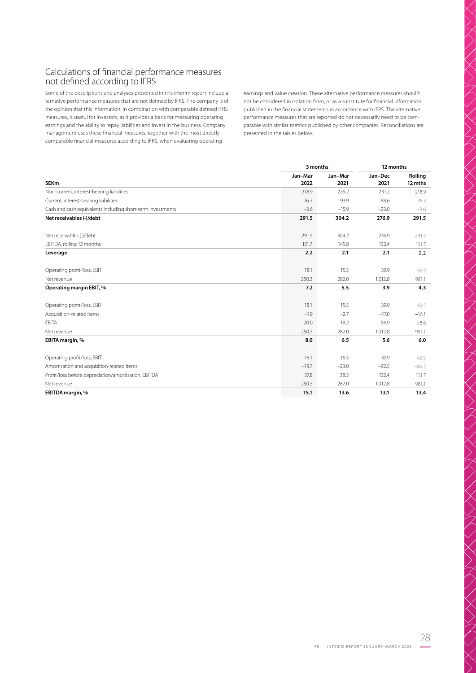# Calculations of financial performance measures not defined according to IFRS

Some of the descriptions and analyses presented in this interim report include alternative performance measures that are not defined by IFRS. The company is of the opinion that this information, in combination with comparable defined IFRS measures, is useful for investors, as it provides a basis for measuring operating earnings and the ability to repay liabilities and invest in the business. Company management uses these financial measures, together with the most directly comparable financial measures according to IFRS, when evaluating operating

earnings and value creation. These alternative performance measures should not be considered in isolation from, or as a substitute for financial information published in the financial statements in accordance with IFRS. The alternative performance measures that are reported do not necessarily need to be comparable with similar metrics published by other companies. Reconciliations are presented in the tables below.

|                                                            |                 | 3 months        |                 |                    |
|------------------------------------------------------------|-----------------|-----------------|-----------------|--------------------|
| <b>SEKm</b>                                                | Jan-Mar<br>2022 | Jan-Mar<br>2021 | Jan-Dec<br>2021 | Rolling<br>12 mths |
| Non-current, interest-bearing liabilities                  | 218.9           | 226.2           | 231.2           | 218.9              |
| Current, interest-bearing liabilities                      | 76.3            | 93.9            | 68.6            | 76.3               |
| Cash and cash equivalents including short-term investments | $-3.6$          | $-15.9$         | $-23.0$         | $-3.6$             |
| Net receivables (-)/debt                                   | 291.5           | 304.2           | 276.9           | 291.5              |
| Net receivables (-)/debt                                   | 291.5           | 304.2           | 276.9           | 291.5              |
| EBITDA, rolling 12 months                                  | 131.7           | 145.8           | 132.4           | 131.7              |
| Leverage                                                   | 2.2             | 2.1             | 2.1             | 2.2                |
| Operating profit/loss, EBIT                                | 18.1            | 15.5            | 39.9            | 42.5               |
| Net revenue                                                | 250.3           | 282.0           | 1,012.8         | 981.1              |
| Operating margin EBIT, %                                   | 7.2             | 5.5             | 3.9             | 4.3                |
| Operating profit/loss, EBIT                                | 18.1            | 15.5            | 39.9            | 42.5               |
| Acquisition-related items                                  | $-1.9$          | $-2.7$          | $-17.0$         | $-16.1$            |
| <b>EBITA</b>                                               | 20.0            | 18.2            | 56.9            | 58.6               |
| Net revenue                                                | 250.3           | 282.0           | 1,012.8         | 981.1              |
| EBITA margin, %                                            | 8.0             | 6.5             | 5.6             | 6.0                |
| Operating profit/loss, EBIT                                | 18.1            | 15.5            | 39.9            | 42.5               |
| Amortisation and acquisition-related items                 | $-19.7$         | $-23.0$         | $-92.5$         | $-89.2$            |
| Profit/loss before depreciation/amortisation, EBITDA       | 37.8            | 38.5            | 132.4           | 131.7              |
| Net revenue                                                | 250.3           | 282.0           | 1,012.8         | 981.1              |
| EBITDA margin, %                                           | 15.1            | 13.6            | 13.1            | 13.4               |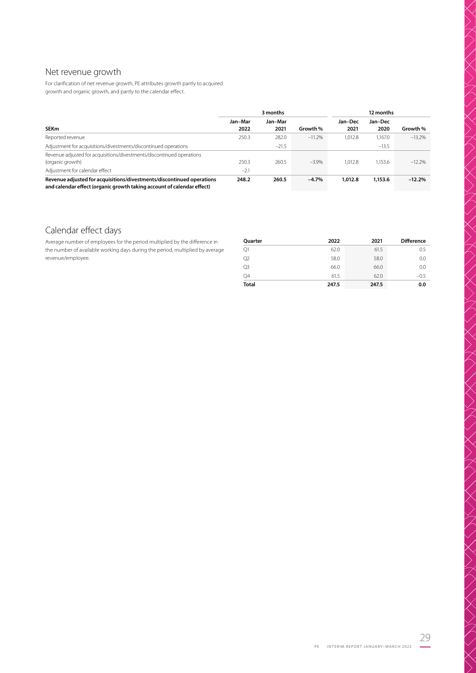# Net revenue growth

For clarification of net revenue growth, PE attributes growth partly to acquired growth and organic growth, and partly to the calendar effect.

|                                                                                                                                                 | 3 months |         |          | 12 months |         |          |
|-------------------------------------------------------------------------------------------------------------------------------------------------|----------|---------|----------|-----------|---------|----------|
|                                                                                                                                                 | Jan-Mar  | Jan-Mar |          | Jan-Dec   | Jan-Dec |          |
| <b>SEKm</b>                                                                                                                                     | 2022     | 2021    | Growth % | 2021      | 2020    | Growth % |
| Reported revenue                                                                                                                                | 250.3    | 282.0   | $-11.2%$ | 1.012.8   | 1.167.0 | $-13.2%$ |
| Adjustment for acquisitions/divestments/discontinued operations                                                                                 |          | $-21.5$ |          |           | $-13.5$ |          |
| Revenue adjusted for acquisitions/divestments/discontinued operations                                                                           |          |         |          |           |         |          |
| (organic growth)                                                                                                                                | 250.3    | 260.5   | $-3.9%$  | 1.012.8   | 1.153.6 | $-12.2%$ |
| Adjustment for calendar effect                                                                                                                  | $-2.1$   |         |          |           |         |          |
| Revenue adjusted for acquisitions/divestments/discontinued operations<br>and calendar effect (organic growth taking account of calendar effect) | 248.2    | 260.5   | $-4.7%$  | 1,012.8   | 1,153.6 | $-12.2%$ |

# Calendar effect days

Average number of employees for the period multiplied by the difference in the number of available working days during the period, multiplied by average revenue/employee.

| Quarter      | 2022  | 2021  | <b>Difference</b> |
|--------------|-------|-------|-------------------|
| Q1           | 62.0  | 61.5  | 0.5               |
| Q2           | 58.0  | 58.0  | 0.0               |
| Q3           | 66.0  | 66.0  | 0.0               |
| Q4           | 61.5  | 62.0  | $-0.5$            |
| <b>Total</b> | 247.5 | 247.5 | 0.0               |